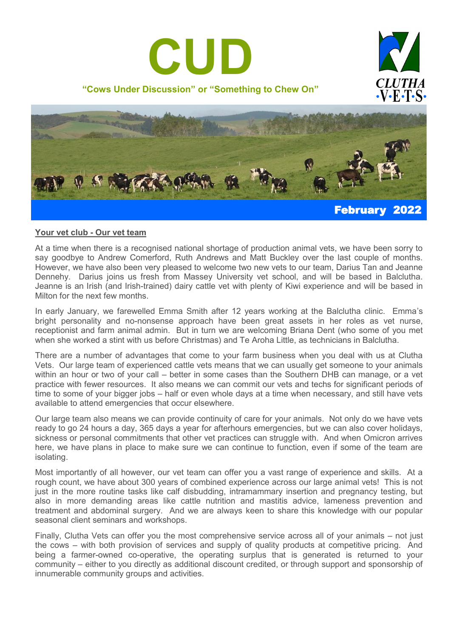



# **Your vet club - Our vet team**

At a time when there is a recognised national shortage of production animal vets, we have been sorry to say goodbye to Andrew Comerford, Ruth Andrews and Matt Buckley over the last couple of months. However, we have also been very pleased to welcome two new vets to our team, Darius Tan and Jeanne Dennehy. Darius joins us fresh from Massey University vet school, and will be based in Balclutha. Jeanne is an Irish (and Irish-trained) dairy cattle vet with plenty of Kiwi experience and will be based in Milton for the next few months.

In early January, we farewelled Emma Smith after 12 years working at the Balclutha clinic. Emma's bright personality and no-nonsense approach have been great assets in her roles as vet nurse, receptionist and farm animal admin. But in turn we are welcoming Briana Dent (who some of you met when she worked a stint with us before Christmas) and Te Aroha Little, as technicians in Balclutha.

There are a number of advantages that come to your farm business when you deal with us at Clutha Vets. Our large team of experienced cattle vets means that we can usually get someone to your animals within an hour or two of your call – better in some cases than the Southern DHB can manage, or a vet practice with fewer resources. It also means we can commit our vets and techs for significant periods of time to some of your bigger jobs – half or even whole days at a time when necessary, and still have vets available to attend emergencies that occur elsewhere.

Our large team also means we can provide continuity of care for your animals. Not only do we have vets ready to go 24 hours a day, 365 days a year for afterhours emergencies, but we can also cover holidays, sickness or personal commitments that other vet practices can struggle with. And when Omicron arrives here, we have plans in place to make sure we can continue to function, even if some of the team are isolating.

Most importantly of all however, our vet team can offer you a vast range of experience and skills. At a rough count, we have about 300 years of combined experience across our large animal vets! This is not just in the more routine tasks like calf disbudding, intramammary insertion and pregnancy testing, but also in more demanding areas like cattle nutrition and mastitis advice, lameness prevention and treatment and abdominal surgery. And we are always keen to share this knowledge with our popular seasonal client seminars and workshops.

Finally, Clutha Vets can offer you the most comprehensive service across all of your animals – not just the cows – with both provision of services and supply of quality products at competitive pricing. And being a farmer-owned co-operative, the operating surplus that is generated is returned to your community – either to you directly as additional discount credited, or through support and sponsorship of innumerable community groups and activities.